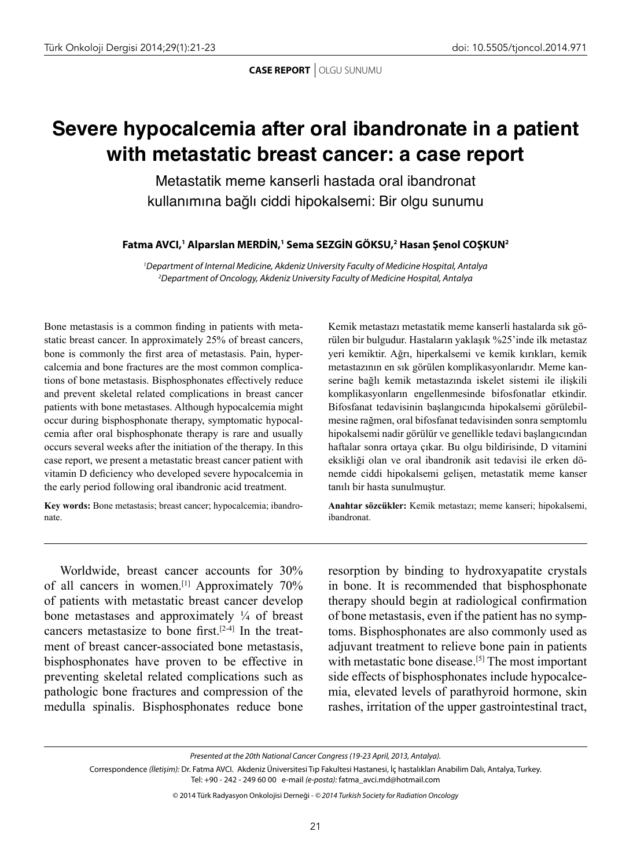**CASE REPORT** | OLGU SUNUMU

## **Severe hypocalcemia after oral ibandronate in a patient with metastatic breast cancer: a case report**

Metastatik meme kanserli hastada oral ibandronat kullanımına bağlı ciddi hipokalsemi: Bir olgu sunumu

**Fatma AVCI,1 Alparslan MERDİN,1 Sema SEZGİN GÖKSU,2 Hasan Şenol COŞKUN2**

*1 Department of Internal Medicine, Akdeniz University Faculty of Medicine Hospital, Antalya 2 Department of Oncology, Akdeniz University Faculty of Medicine Hospital, Antalya*

Bone metastasis is a common finding in patients with metastatic breast cancer. In approximately 25% of breast cancers, bone is commonly the first area of metastasis. Pain, hypercalcemia and bone fractures are the most common complications of bone metastasis. Bisphosphonates effectively reduce and prevent skeletal related complications in breast cancer patients with bone metastases. Although hypocalcemia might occur during bisphosphonate therapy, symptomatic hypocalcemia after oral bisphosphonate therapy is rare and usually occurs several weeks after the initiation of the therapy. In this case report, we present a metastatic breast cancer patient with vitamin D deficiency who developed severe hypocalcemia in the early period following oral ibandronic acid treatment.

**Key words:** Bone metastasis; breast cancer; hypocalcemia; ibandronate.

Kemik metastazı metastatik meme kanserli hastalarda sık görülen bir bulgudur. Hastaların yaklaşık %25'inde ilk metastaz yeri kemiktir. Ağrı, hiperkalsemi ve kemik kırıkları, kemik metastazının en sık görülen komplikasyonlarıdır. Meme kanserine bağlı kemik metastazında iskelet sistemi ile ilişkili komplikasyonların engellenmesinde bifosfonatlar etkindir. Bifosfanat tedavisinin başlangıcında hipokalsemi görülebilmesine rağmen, oral bifosfanat tedavisinden sonra semptomlu hipokalsemi nadir görülür ve genellikle tedavi başlangıcından haftalar sonra ortaya çıkar. Bu olgu bildirisinde, D vitamini eksikliği olan ve oral ibandronik asit tedavisi ile erken dönemde ciddi hipokalsemi gelişen, metastatik meme kanser tanılı bir hasta sunulmuştur.

**Anahtar sözcükler:** Kemik metastazı; meme kanseri; hipokalsemi, ibandronat.

Worldwide, breast cancer accounts for 30% of all cancers in women.[1] Approximately 70% of patients with metastatic breast cancer develop bone metastases and approximately ¼ of breast cancers metastasize to bone first.<sup>[2-4]</sup> In the treatment of breast cancer-associated bone metastasis, bisphosphonates have proven to be effective in preventing skeletal related complications such as pathologic bone fractures and compression of the medulla spinalis. Bisphosphonates reduce bone resorption by binding to hydroxyapatite crystals in bone. It is recommended that bisphosphonate therapy should begin at radiological confirmation of bone metastasis, even if the patient has no symptoms. Bisphosphonates are also commonly used as adjuvant treatment to relieve bone pain in patients with metastatic bone disease.<sup>[5]</sup> The most important side effects of bisphosphonates include hypocalcemia, elevated levels of parathyroid hormone, skin rashes, irritation of the upper gastrointestinal tract,

*Presented at the 20th National Cancer Congress (19-23 April, 2013, Antalya).*

Correspondence *(İletişim):* Dr. Fatma AVCI. Akdeniz Üniversitesi Tıp Fakultesi Hastanesi, İç hastalıkları Anabilim Dalı, Antalya, Turkey. Tel: +90 - 242 - 249 60 00 e-mail *(e-posta):* fatma\_avci.md@hotmail.com

<sup>© 2014</sup> Türk Radyasyon Onkolojisi Derneği - *© 2014 Turkish Society for Radiation Oncology*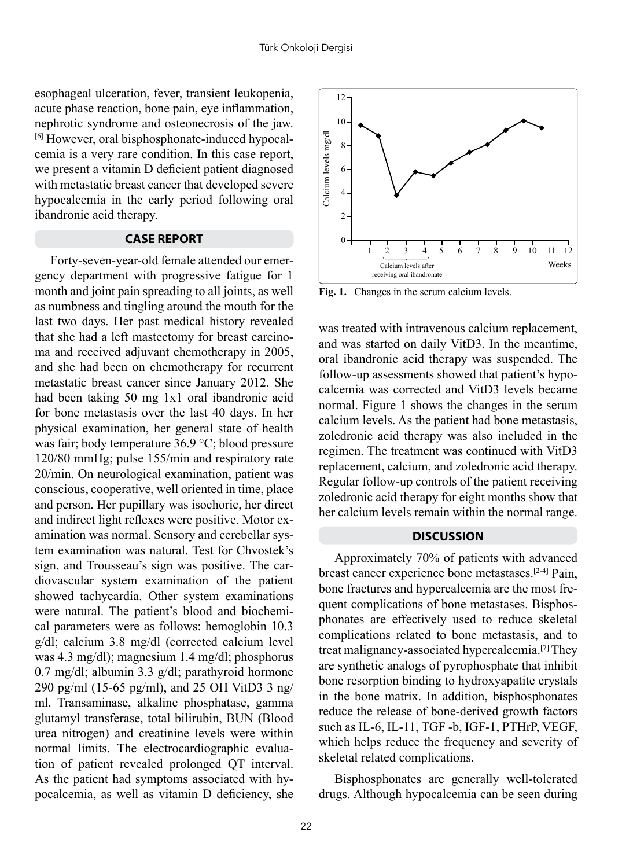esophageal ulceration, fever, transient leukopenia, acute phase reaction, bone pain, eye inflammation, nephrotic syndrome and osteonecrosis of the jaw. [6] However, oral bisphosphonate-induced hypocalcemia is a very rare condition. In this case report, we present a vitamin D deficient patient diagnosed with metastatic breast cancer that developed severe hypocalcemia in the early period following oral ibandronic acid therapy.

## **CASE REPORT**

Forty-seven-year-old female attended our emergency department with progressive fatigue for 1 month and joint pain spreading to all joints, as well as numbness and tingling around the mouth for the last two days. Her past medical history revealed that she had a left mastectomy for breast carcinoma and received adjuvant chemotherapy in 2005, and she had been on chemotherapy for recurrent metastatic breast cancer since January 2012. She had been taking 50 mg 1x1 oral ibandronic acid for bone metastasis over the last 40 days. In her physical examination, her general state of health was fair; body temperature 36.9 °C; blood pressure 120/80 mmHg; pulse 155/min and respiratory rate 20/min. On neurological examination, patient was conscious, cooperative, well oriented in time, place and person. Her pupillary was isochoric, her direct and indirect light reflexes were positive. Motor examination was normal. Sensory and cerebellar system examination was natural. Test for Chvostek's sign, and Trousseau's sign was positive. The cardiovascular system examination of the patient showed tachycardia. Other system examinations were natural. The patient's blood and biochemical parameters were as follows: hemoglobin 10.3 g/dl; calcium 3.8 mg/dl (corrected calcium level was 4.3 mg/dl); magnesium 1.4 mg/dl; phosphorus 0.7 mg/dl; albumin 3.3 g/dl; parathyroid hormone 290 pg/ml (15-65 pg/ml), and 25 OH VitD3 3 ng/ ml. Transaminase, alkaline phosphatase, gamma glutamyl transferase, total bilirubin, BUN (Blood urea nitrogen) and creatinine levels were within normal limits. The electrocardiographic evaluation of patient revealed prolonged QT interval. As the patient had symptoms associated with hypocalcemia, as well as vitamin D deficiency, she



**Fig. 1.** Changes in the serum calcium levels.

was treated with intravenous calcium replacement, and was started on daily VitD3. In the meantime, oral ibandronic acid therapy was suspended. The follow-up assessments showed that patient's hypocalcemia was corrected and VitD3 levels became normal. Figure 1 shows the changes in the serum calcium levels. As the patient had bone metastasis, zoledronic acid therapy was also included in the regimen. The treatment was continued with VitD3 replacement, calcium, and zoledronic acid therapy. Regular follow-up controls of the patient receiving zoledronic acid therapy for eight months show that her calcium levels remain within the normal range.

## **DISCUSSION**

Approximately 70% of patients with advanced breast cancer experience bone metastases.[2-4] Pain, bone fractures and hypercalcemia are the most frequent complications of bone metastases. Bisphosphonates are effectively used to reduce skeletal complications related to bone metastasis, and to treat malignancy-associated hypercalcemia.[7] They are synthetic analogs of pyrophosphate that inhibit bone resorption binding to hydroxyapatite crystals in the bone matrix. In addition, bisphosphonates reduce the release of bone-derived growth factors such as IL-6, IL-11, TGF -b, IGF-1, PTHrP, VEGF, which helps reduce the frequency and severity of skeletal related complications.

Bisphosphonates are generally well-tolerated drugs. Although hypocalcemia can be seen during